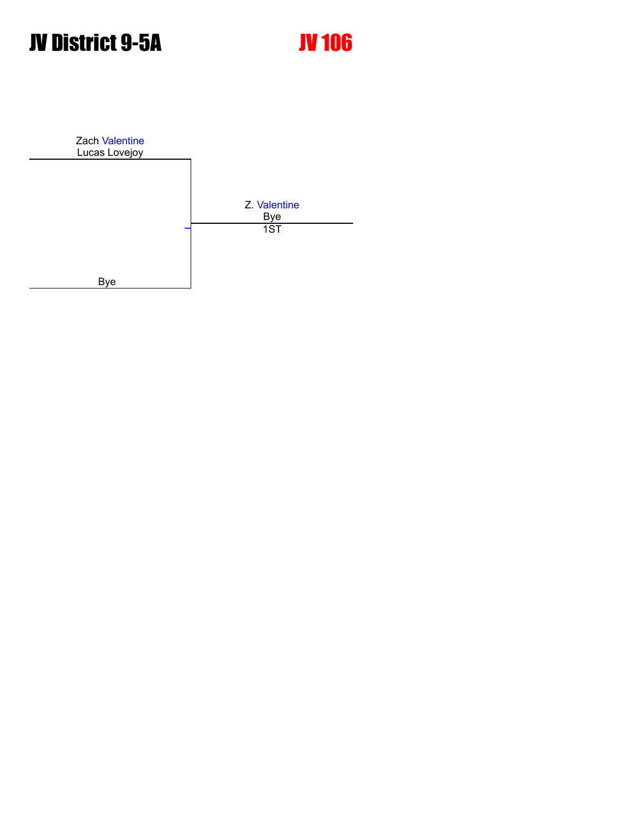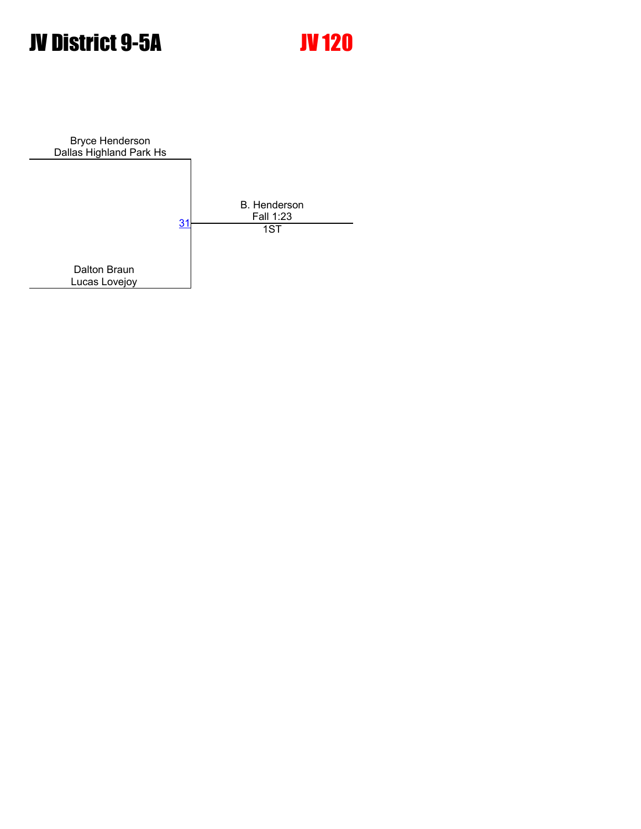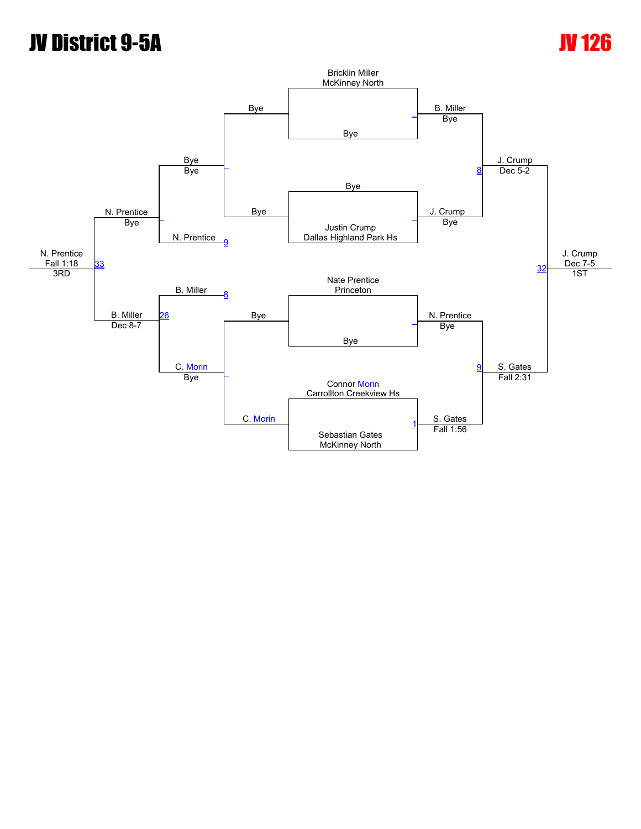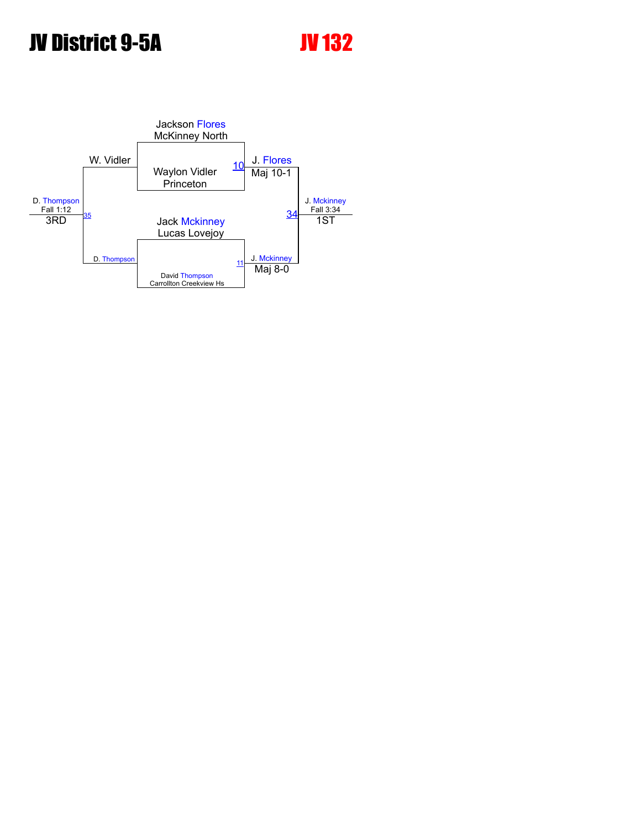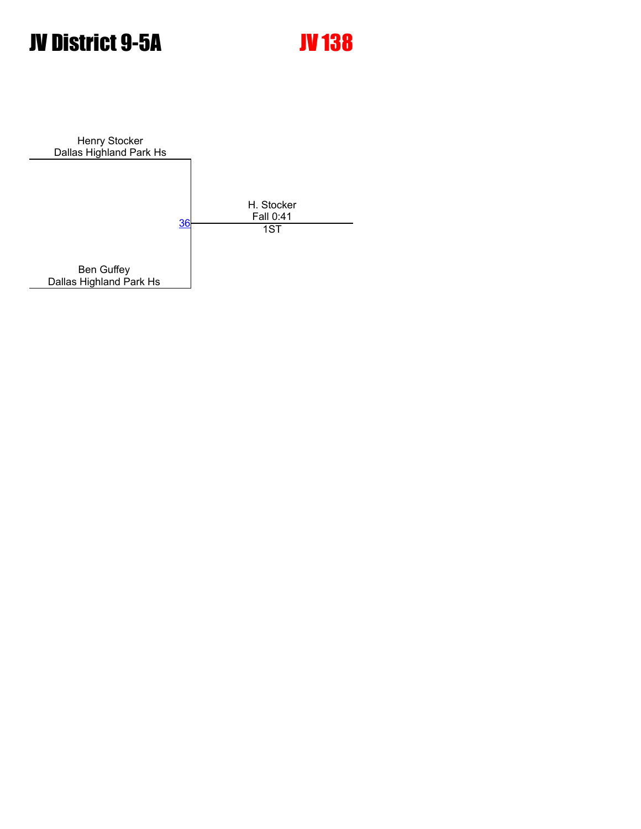Henry Stocker Dallas Highland Park Hs H. Stocker Fall 0:41 Ben Guffey Dallas Highland Park Hs <u>[36](javascript:openBoutSheet(1,)</u> **1ST**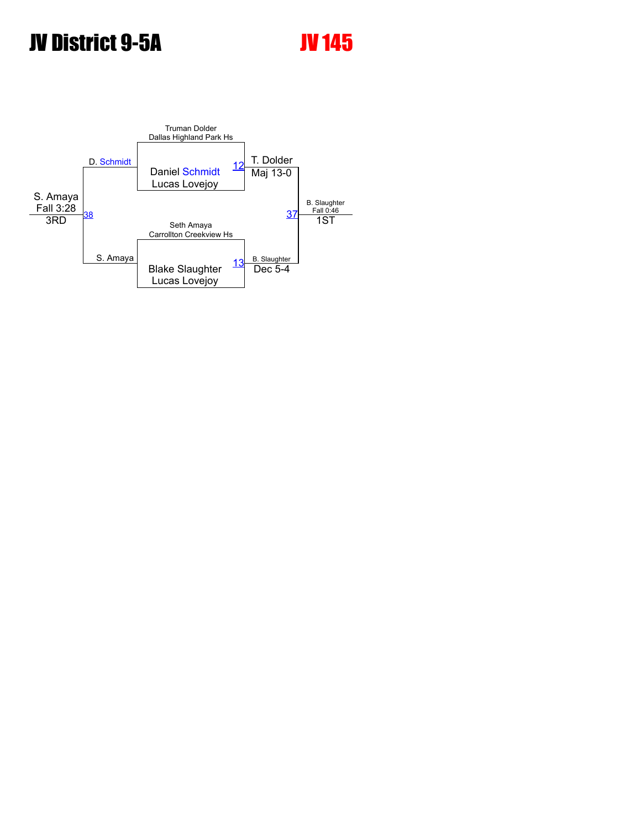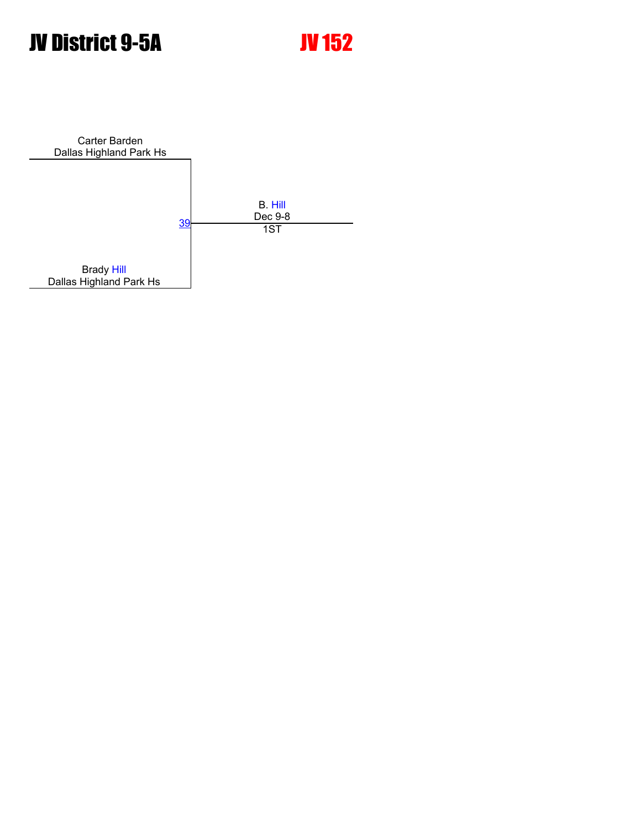Carter Barden Dallas Highland Park Hs B. [Hill](javascript:viewProfile(1348331009)) <u>[39](javascript:openBoutSheet(1,)</u> Dec 9-8<br>1ST Brady [Hill](javascript:viewProfile(1348331009)) Dallas Highland Park Hs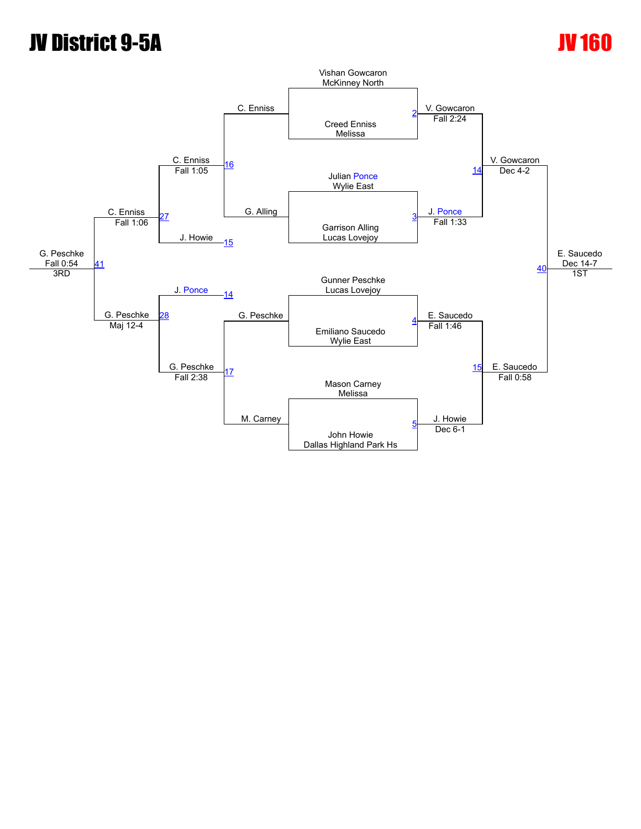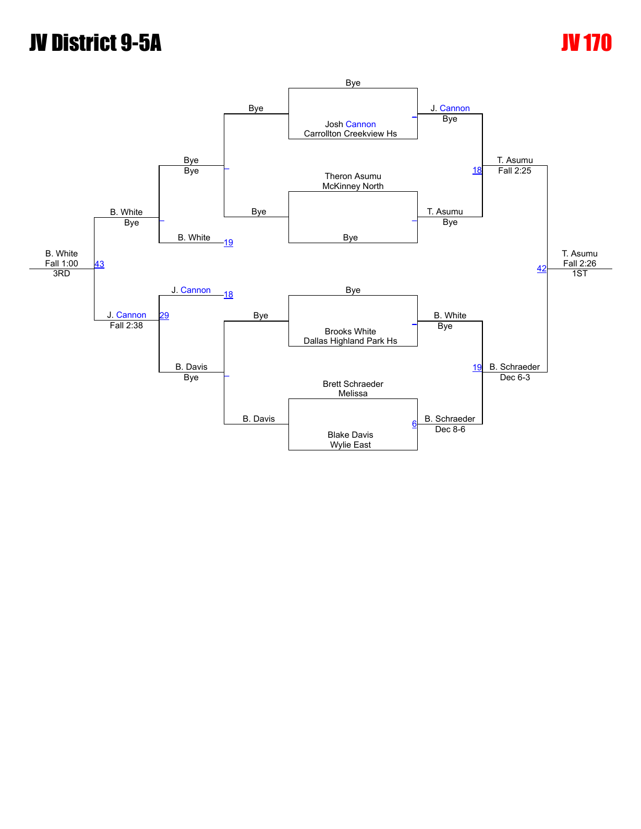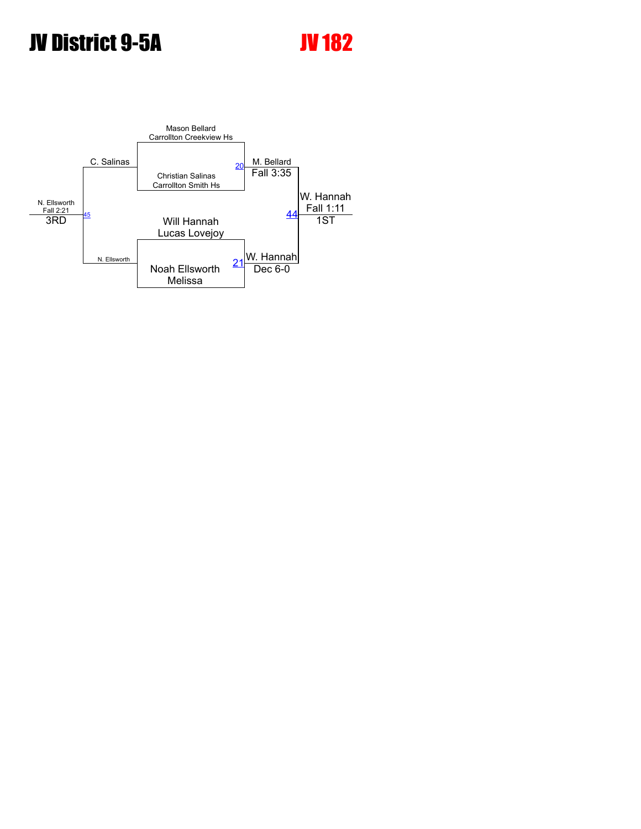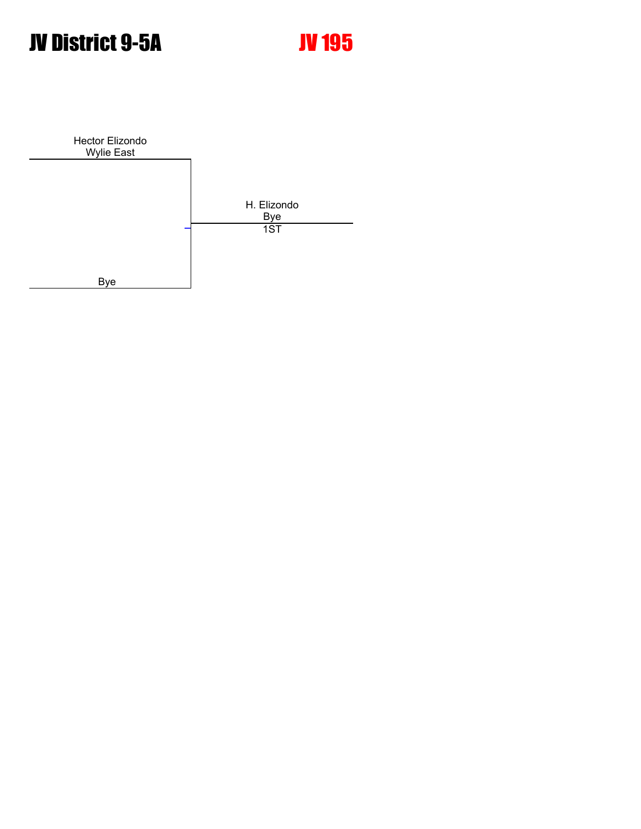Hector Elizondo Wylie East H. Elizondo Bye Bye [\\_](javascript:openBoutSheet(1,) 1ST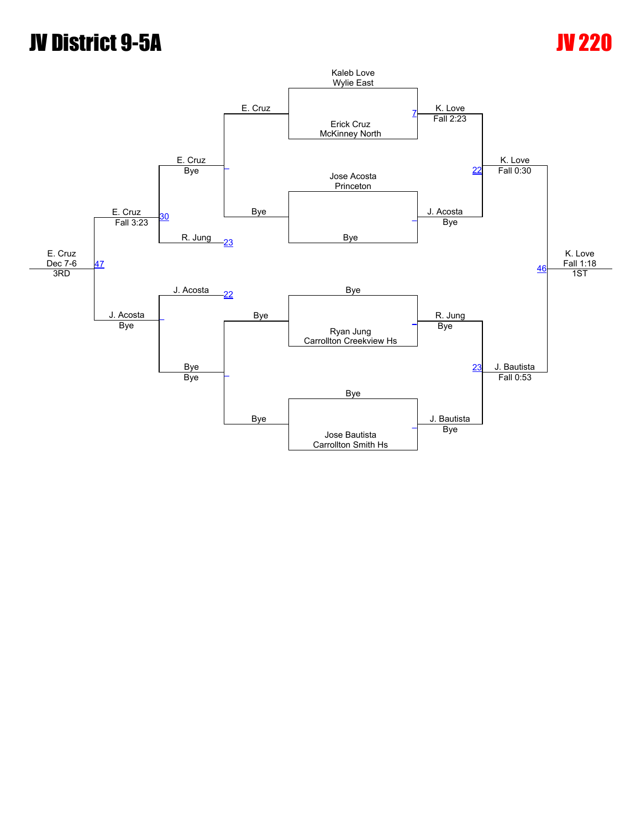